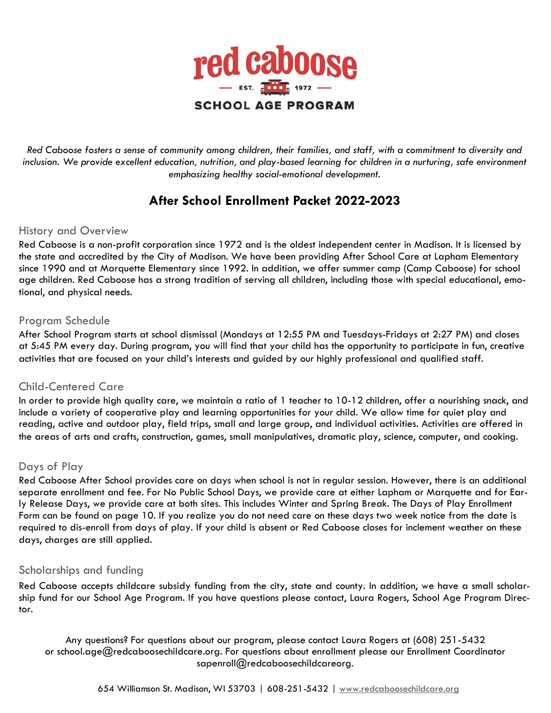

*Red Caboose fosters a sense of community among children, their families, and staff, with a commitment to diversity and inclusion. We provide excellent education, nutrition, and play-based learning for children in a nurturing, safe environment emphasizing healthy social-emotional development.* 

## **After School Enrollment Packet 2022-2023**

### History and Overview

Red Caboose is a non-profit corporation since 1972 and is the oldest independent center in Madison. It is licensed by the state and accredited by the City of Madison. We have been providing After School Care at Lapham Elementary since 1990 and at Marquette Elementary since 1992. In addition, we offer summer camp (Camp Caboose) for school age children. Red Caboose has a strong tradition of serving all children, including those with special educational, emotional, and physical needs.

### Program Schedule

After School Program starts at school dismissal (Mondays at 12:55 PM and Tuesdays-Fridays at 2:27 PM) and closes at 5:45 PM every day. During program, you will find that your child has the opportunity to participate in fun, creative activities that are focused on your child's interests and guided by our highly professional and qualified staff.

### Child-Centered Care

In order to provide high quality care, we maintain a ratio of 1 teacher to 10-12 children, offer a nourishing snack, and include a variety of cooperative play and learning opportunities for your child. We allow time for quiet play and reading, active and outdoor play, field trips, small and large group, and individual activities. Activities are offered in the areas of arts and crafts, construction, games, small manipulatives, dramatic play, science, computer, and cooking.

### Days of Play

Red Caboose After School provides care on days when school is not in regular session. However, there is an additional separate enrollment and fee. For No Public School Days, we provide care at either Lapham or Marquette and for Early Release Days, we provide care at both sites. This includes Winter and Spring Break. The Days of Play Enrollment Form can be found on page 10. If you realize you do not need care on these days two week notice from the date is required to dis-enroll from days of play. If your child is absent or Red Caboose closes for inclement weather on these days, charges are still applied.

### Scholarships and funding

Red Caboose accepts childcare subsidy funding from the city, state and county. In addition, we have a small scholarship fund for our School Age Program. If you have questions please contact, Laura Rogers, School Age Program Director.

Any questions? For questions about our program, please contact Laura Rogers at (608) 251-5432 or school.age@redcaboosechildcare.org. For questions about enrollment please our Enrollment Coordinator sapenroll@redcaboosechildcareorg.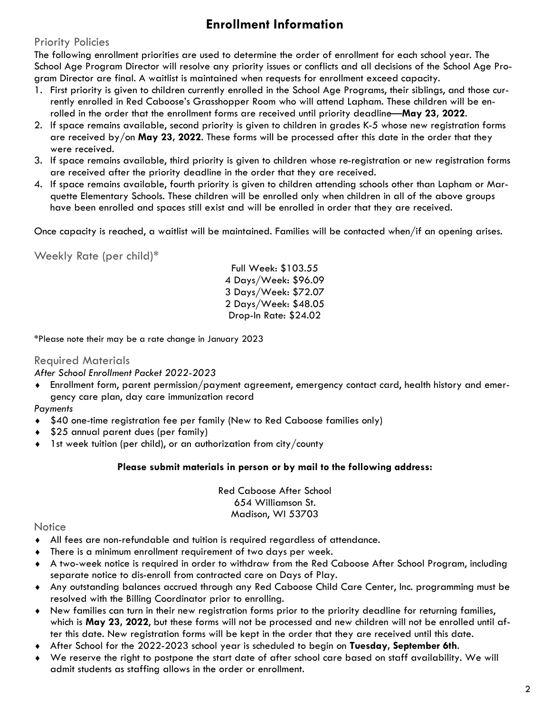## **Enrollment Information**

### Priority Policies

The following enrollment priorities are used to determine the order of enrollment for each school year. The School Age Program Director will resolve any priority issues or conflicts and all decisions of the School Age Program Director are final. A waitlist is maintained when requests for enrollment exceed capacity.

- 1. First priority is given to children currently enrolled in the School Age Programs, their siblings, and those currently enrolled in Red Caboose's Grasshopper Room who will attend Lapham. These children will be enrolled in the order that the enrollment forms are received until priority deadline—**May 23, 2022**.
- 2. If space remains available, second priority is given to children in grades K-5 whose new registration forms are received by/on **May 23, 2022**. These forms will be processed after this date in the order that they were received.
- 3. If space remains available, third priority is given to children whose re-registration or new registration forms are received after the priority deadline in the order that they are received.
- 4. If space remains available, fourth priority is given to children attending schools other than Lapham or Marquette Elementary Schools. These children will be enrolled only when children in all of the above groups have been enrolled and spaces still exist and will be enrolled in order that they are received.

Once capacity is reached, a waitlist will be maintained. Families will be contacted when/if an opening arises.

Weekly Rate (per child)\*

Full Week: \$103.55 4 Days/Week: \$96.09 3 Days/Week: \$72.07 2 Days/Week: \$48.05 Drop-In Rate: \$24.02

\*Please note their may be a rate change in January 2023

### Required Materials

*After School Enrollment Packet 2022-2023*

 Enrollment form, parent permission/payment agreement, emergency contact card, health history and emergency care plan, day care immunization record

### *Payments*

- \$40 one-time registration fee per family (New to Red Caboose families only)
- \$25 annual parent dues (per family)
- $\bullet$  1st week tuition (per child), or an authorization from city/county

#### **Please submit materials in person or by mail to the following address:**

Red Caboose After School 654 Williamson St. Madison, WI 53703

### **Notice**

- All fees are non-refundable and tuition is required regardless of attendance.
- There is a minimum enrollment requirement of two days per week.
- A two-week notice is required in order to withdraw from the Red Caboose After School Program, including separate notice to dis-enroll from contracted care on Days of Play.
- Any outstanding balances accrued through any Red Caboose Child Care Center, Inc. programming must be resolved with the Billing Coordinator prior to enrolling.
- New families can turn in their new registration forms prior to the priority deadline for returning families, which is **May 23, 2022**, but these forms will not be processed and new children will not be enrolled until after this date. New registration forms will be kept in the order that they are received until this date.
- After School for the 2022-2023 school year is scheduled to begin on **Tuesday, September 6th**.
- We reserve the right to postpone the start date of after school care based on staff availability. We will admit students as staffing allows in the order or enrollment.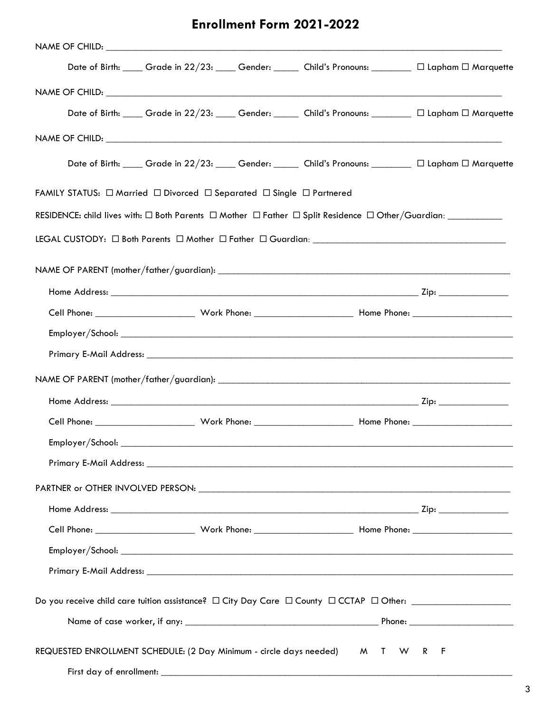## **Enrollment Form 2021-2022**

|                                                                                                                            |  |  |  | Date of Birth: ____ Grade in 22/23: ____ Gender: _____ Child's Pronouns: _______ □ Lapham □ Marquette |  |  |  |  |  |
|----------------------------------------------------------------------------------------------------------------------------|--|--|--|-------------------------------------------------------------------------------------------------------|--|--|--|--|--|
|                                                                                                                            |  |  |  |                                                                                                       |  |  |  |  |  |
|                                                                                                                            |  |  |  | Date of Birth: ____ Grade in 22/23: ____ Gender: _____ Child's Pronouns: _______ □ Lapham □ Marquette |  |  |  |  |  |
|                                                                                                                            |  |  |  |                                                                                                       |  |  |  |  |  |
|                                                                                                                            |  |  |  | Date of Birth: ____ Grade in 22/23: ____ Gender: _____ Child's Pronouns: _______ □ Lapham □ Marquette |  |  |  |  |  |
| FAMILY STATUS: $\Box$ Married $\Box$ Divorced $\Box$ Separated $\Box$ Single $\Box$ Partnered                              |  |  |  |                                                                                                       |  |  |  |  |  |
| RESIDENCE: child lives with: $\Box$ Both Parents $\Box$ Mother $\Box$ Father $\Box$ Split Residence $\Box$ Other/Guardian: |  |  |  |                                                                                                       |  |  |  |  |  |
|                                                                                                                            |  |  |  |                                                                                                       |  |  |  |  |  |
|                                                                                                                            |  |  |  |                                                                                                       |  |  |  |  |  |
|                                                                                                                            |  |  |  |                                                                                                       |  |  |  |  |  |
|                                                                                                                            |  |  |  |                                                                                                       |  |  |  |  |  |
|                                                                                                                            |  |  |  |                                                                                                       |  |  |  |  |  |
|                                                                                                                            |  |  |  |                                                                                                       |  |  |  |  |  |
|                                                                                                                            |  |  |  |                                                                                                       |  |  |  |  |  |
|                                                                                                                            |  |  |  |                                                                                                       |  |  |  |  |  |
|                                                                                                                            |  |  |  |                                                                                                       |  |  |  |  |  |
|                                                                                                                            |  |  |  |                                                                                                       |  |  |  |  |  |
|                                                                                                                            |  |  |  |                                                                                                       |  |  |  |  |  |
|                                                                                                                            |  |  |  |                                                                                                       |  |  |  |  |  |
|                                                                                                                            |  |  |  |                                                                                                       |  |  |  |  |  |
|                                                                                                                            |  |  |  |                                                                                                       |  |  |  |  |  |
|                                                                                                                            |  |  |  |                                                                                                       |  |  |  |  |  |
|                                                                                                                            |  |  |  |                                                                                                       |  |  |  |  |  |
|                                                                                                                            |  |  |  |                                                                                                       |  |  |  |  |  |
|                                                                                                                            |  |  |  |                                                                                                       |  |  |  |  |  |
|                                                                                                                            |  |  |  |                                                                                                       |  |  |  |  |  |
|                                                                                                                            |  |  |  |                                                                                                       |  |  |  |  |  |
| REQUESTED ENROLLMENT SCHEDULE: (2 Day Minimum - circle days needed) M T W R<br>- F                                         |  |  |  |                                                                                                       |  |  |  |  |  |
|                                                                                                                            |  |  |  |                                                                                                       |  |  |  |  |  |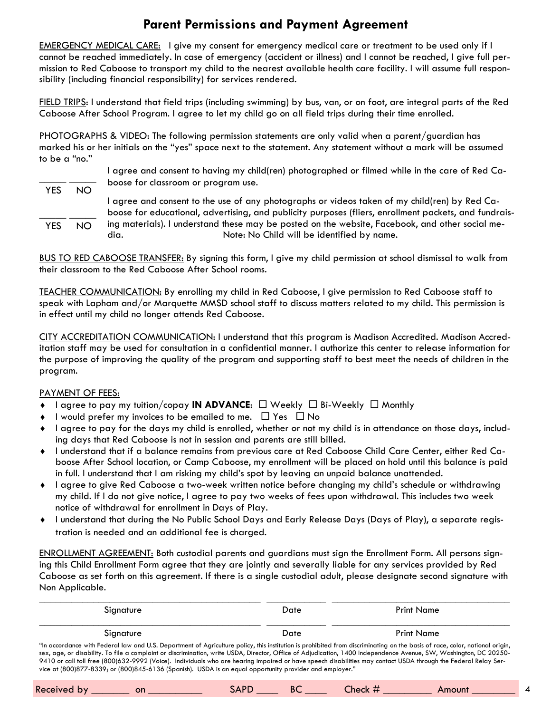## **Parent Permissions and Payment Agreement**

EMERGENCY MEDICAL CARE: I give my consent for emergency medical care or treatment to be used only if I cannot be reached immediately. In case of emergency (accident or illness) and I cannot be reached, I give full permission to Red Caboose to transport my child to the nearest available health care facility. I will assume full responsibility (including financial responsibility) for services rendered.

FIELD TRIPS: I understand that field trips (including swimming) by bus, van, or on foot, are integral parts of the Red Caboose After School Program. I agree to let my child go on all field trips during their time enrolled.

PHOTOGRAPHS & VIDEO: The following permission statements are only valid when a parent/guardian has marked his or her initials on the "yes" space next to the statement. Any statement without a mark will be assumed to be a "no."

\_\_\_\_\_ \_\_\_\_\_ YES NO  $\frac{\frac{1}{2} \left( \frac{1}{2} \right) \left( \frac{1}{2} \right) \left( \frac{1}{2} \right) \left( \frac{1}{2} \right) \left( \frac{1}{2} \right) \left( \frac{1}{2} \right) \left( \frac{1}{2} \right) \left( \frac{1}{2} \right) \left( \frac{1}{2} \right) \left( \frac{1}{2} \right) \left( \frac{1}{2} \right) \left( \frac{1}{2} \right) \left( \frac{1}{2} \right) \left( \frac{1}{2} \right) \left( \frac{1}{2} \right) \left( \frac{1}{2} \right) \left($  YES NO I agree and consent to having my child(ren) photographed or filmed while in the care of Red Caboose for classroom or program use. I agree and consent to the use of any photographs or videos taken of my child(ren) by Red Caboose for educational, advertising, and publicity purposes (fliers, enrollment packets, and fundraising materials). I understand these may be posted on the website, Facebook, and other social media. Note: No Child will be identified by name.

BUS TO RED CABOOSE TRANSFER: By signing this form, I give my child permission at school dismissal to walk from their classroom to the Red Caboose After School rooms.

TEACHER COMMUNICATION: By enrolling my child in Red Caboose, I give permission to Red Caboose staff to speak with Lapham and/or Marquette MMSD school staff to discuss matters related to my child. This permission is in effect until my child no longer attends Red Caboose.

CITY ACCREDITATION COMMUNICATION: I understand that this program is Madison Accredited. Madison Accreditation staff may be used for consultation in a confidential manner. I authorize this center to release information for the purpose of improving the quality of the program and supporting staff to best meet the needs of children in the program.

#### PAYMENT OF FEES:

- $\bullet$  I agree to pay my tuition/copay **IN ADVANCE**:  $\Box$  Weekly  $\Box$  Bi-Weekly  $\Box$  Monthly
- $\bullet$  I would prefer my invoices to be emailed to me.  $\Box$  Yes  $\Box$  No
- I agree to pay for the days my child is enrolled, whether or not my child is in attendance on those days, including days that Red Caboose is not in session and parents are still billed.
- I understand that if a balance remains from previous care at Red Caboose Child Care Center, either Red Caboose After School location, or Camp Caboose, my enrollment will be placed on hold until this balance is paid in full. I understand that I am risking my child's spot by leaving an unpaid balance unattended.
- I agree to give Red Caboose a two-week written notice before changing my child's schedule or withdrawing my child. If I do not give notice, I agree to pay two weeks of fees upon withdrawal. This includes two week notice of withdrawal for enrollment in Days of Play.
- I understand that during the No Public School Days and Early Release Days (Days of Play), a separate registration is needed and an additional fee is charged.

ENROLLMENT AGREEMENT: Both custodial parents and guardians must sign the Enrollment Form. All persons signing this Child Enrollment Form agree that they are jointly and severally liable for any services provided by Red Caboose as set forth on this agreement. If there is a single custodial adult, please designate second signature with Non Applicable.

| Sianature                                                                                                                                                                                                                                                                                                                                                                                                                                                                                                                                                                                                                     | Date | Print Name |  |  |  |  |  |
|-------------------------------------------------------------------------------------------------------------------------------------------------------------------------------------------------------------------------------------------------------------------------------------------------------------------------------------------------------------------------------------------------------------------------------------------------------------------------------------------------------------------------------------------------------------------------------------------------------------------------------|------|------------|--|--|--|--|--|
| Signature                                                                                                                                                                                                                                                                                                                                                                                                                                                                                                                                                                                                                     | Date | Print Name |  |  |  |  |  |
| "In accordance with Federal law and U.S. Department of Agriculture policy, this institution is prohibited from discriminating on the basis of race, color, national origin,<br>sex, age, or disability. To file a complaint or discrimination, write USDA, Director, Office of Adjudication, 1400 Independence Avenue, SW, Washington, DC 20250-<br>9410 or call toll free (800)632-9992 (Voice). Individuals who are hearing impaired or have speech disabilities may contact USDA through the Federal Relay Ser-<br>vice at (800)877-8339; or (800)845-6136 (Spanish). USDA is an equal opportunity provider and employer." |      |            |  |  |  |  |  |

|  | Received by<br>on | $AD^{\mathsf{F}}$<br>271 | BC | <b>neck</b> | Amoun <sup>'</sup> |  |
|--|-------------------|--------------------------|----|-------------|--------------------|--|
|--|-------------------|--------------------------|----|-------------|--------------------|--|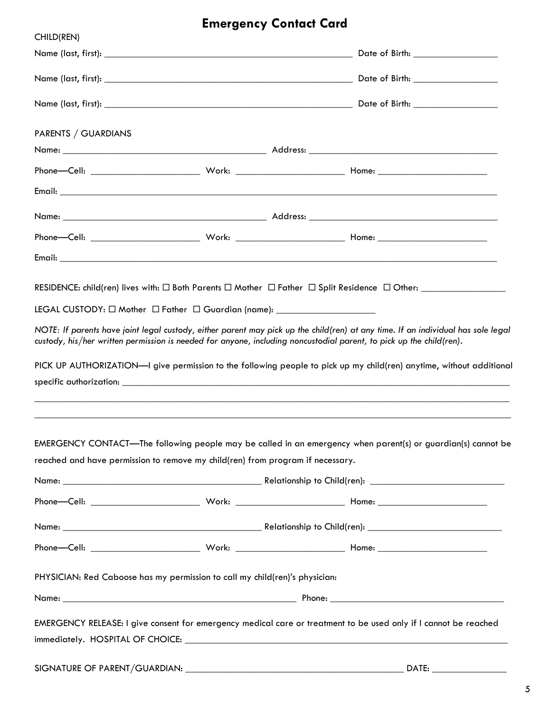# **Emergency Contact Card**

| CHILD(REN)                                                                                                                                                                                                                                                                                                                                                                                                                                                    |                                                                                   |  |                                    |
|---------------------------------------------------------------------------------------------------------------------------------------------------------------------------------------------------------------------------------------------------------------------------------------------------------------------------------------------------------------------------------------------------------------------------------------------------------------|-----------------------------------------------------------------------------------|--|------------------------------------|
|                                                                                                                                                                                                                                                                                                                                                                                                                                                               |                                                                                   |  | Date of Birth: ___________________ |
|                                                                                                                                                                                                                                                                                                                                                                                                                                                               |                                                                                   |  |                                    |
|                                                                                                                                                                                                                                                                                                                                                                                                                                                               |                                                                                   |  |                                    |
| PARENTS / GUARDIANS                                                                                                                                                                                                                                                                                                                                                                                                                                           |                                                                                   |  |                                    |
|                                                                                                                                                                                                                                                                                                                                                                                                                                                               |                                                                                   |  |                                    |
|                                                                                                                                                                                                                                                                                                                                                                                                                                                               |                                                                                   |  |                                    |
|                                                                                                                                                                                                                                                                                                                                                                                                                                                               |                                                                                   |  |                                    |
|                                                                                                                                                                                                                                                                                                                                                                                                                                                               |                                                                                   |  |                                    |
|                                                                                                                                                                                                                                                                                                                                                                                                                                                               |                                                                                   |  |                                    |
|                                                                                                                                                                                                                                                                                                                                                                                                                                                               |                                                                                   |  |                                    |
| LEGAL CUSTODY: □ Mother □ Father □ Guardian (name): ______________________<br>NOTE: If parents have joint legal custody, either parent may pick up the child(ren) at any time. If an individual has sole legal<br>custody, his/her written permission is needed for anyone, including noncustodial parent, to pick up the child(ren).<br>PICK UP AUTHORIZATION-I give permission to the following people to pick up my child(ren) anytime, without additional |                                                                                   |  |                                    |
| EMERGENCY CONTACT—The following people may be called in an emergency when parent(s) or guardian(s) cannot be<br>reached and have permission to remove my child(ren) from program if necessary.                                                                                                                                                                                                                                                                | ,我们也不能在这里的人,我们也不能在这里的人,我们也不能在这里的人,我们也不能在这里的人,我们也不能在这里的人,我们也不能在这里的人,我们也不能在这里的人,我们也 |  |                                    |
|                                                                                                                                                                                                                                                                                                                                                                                                                                                               |                                                                                   |  |                                    |
|                                                                                                                                                                                                                                                                                                                                                                                                                                                               |                                                                                   |  |                                    |
|                                                                                                                                                                                                                                                                                                                                                                                                                                                               |                                                                                   |  |                                    |
| PHYSICIAN: Red Caboose has my permission to call my child(ren)'s physician:                                                                                                                                                                                                                                                                                                                                                                                   |                                                                                   |  |                                    |
| EMERGENCY RELEASE: I give consent for emergency medical care or treatment to be used only if I cannot be reached                                                                                                                                                                                                                                                                                                                                              |                                                                                   |  |                                    |
|                                                                                                                                                                                                                                                                                                                                                                                                                                                               |                                                                                   |  |                                    |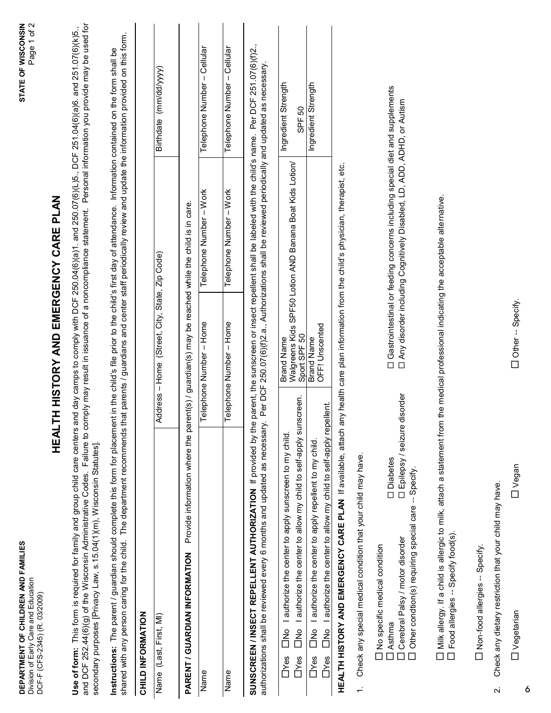| DEPARTMENT OF CHILDREN AND FAMILIES<br>Division of Early Care and Education<br>DCF-F (CFS-2345) (R. 03/2009)                                                                                                                                                                                                                                                                                        |                   |                                                                  |                                                                                                                                                                                                               | STATE OF WISCONSIN<br>$\mathbf{\Omega}$<br>Page 1 of |
|-----------------------------------------------------------------------------------------------------------------------------------------------------------------------------------------------------------------------------------------------------------------------------------------------------------------------------------------------------------------------------------------------------|-------------------|------------------------------------------------------------------|---------------------------------------------------------------------------------------------------------------------------------------------------------------------------------------------------------------|------------------------------------------------------|
|                                                                                                                                                                                                                                                                                                                                                                                                     | HEAL <sup>-</sup> |                                                                  | TH HISTORY AND EMERGENCY CARE PLAN                                                                                                                                                                            |                                                      |
| Use of form: This form is required for family and group child care centers and day camps to comply with DCF 250.04(6)(a)1. and 250.07(6)(L)5., DCF 251.04(6)(a)6. and 251.07(6)(k)5.,<br>and DCF 252.44(6)(g) of the Wisconsin Administrative Codes. Failure to comply may result in issuance of a noncompliance statement.<br>secondary purposes [Privacy Law, s.15.04(1)(m), Wisconsin Statutes]. |                   |                                                                  |                                                                                                                                                                                                               | Personal information you provide may be used for     |
| shared with any person caring for the child. The department recommends that parents / guardians and center staff periodically review and update the information provided on this form.<br>Instructions: The parent / guardian should complete this form for placement in the child's file prior to the child's first day of attendance. Information contained on the form shall be                  |                   |                                                                  |                                                                                                                                                                                                               |                                                      |
| CHILD INFORMATION                                                                                                                                                                                                                                                                                                                                                                                   |                   |                                                                  |                                                                                                                                                                                                               |                                                      |
| Name (Last, First, MI)                                                                                                                                                                                                                                                                                                                                                                              |                   | Address-Home (Street, City, State, Zip Code)                     |                                                                                                                                                                                                               | Birthdate (mm/dd/yyyy)                               |
| Provide information where the par<br>PARENT / GUARDIAN INFORMATION                                                                                                                                                                                                                                                                                                                                  |                   | rent(s) / guardian(s) may be reached while the child is in care. |                                                                                                                                                                                                               |                                                      |
| Name                                                                                                                                                                                                                                                                                                                                                                                                |                   | $-$ Home<br>Telephone Number                                     | – Work<br>Telephone Number                                                                                                                                                                                    | - Cellular<br>Telephone Number                       |
| Name                                                                                                                                                                                                                                                                                                                                                                                                |                   | Telephone Number - Home                                          | Telephone Number - Work                                                                                                                                                                                       | - Cellular<br>Telephone Number                       |
| SUNSCREEN / INSECT REPELLENT AUTHORIZATION If provided by the<br>authorizations shall be reviewed every 6 months and updated as necessary                                                                                                                                                                                                                                                           |                   |                                                                  | parent, the sunscreen or insect repellent shall be labeled with the child's name. Per DCF 251.07(6)(f)2.<br>Per DCF 250.07(6)(f)2.a., Authorizations shall be reviewed periodically and updated as necessary. |                                                      |
| I authorize the center to allow my child to self-apply sunscreen.<br>I authorize the center to apply sunscreen to my child.<br>$\sum_{i=1}^{n}$<br>Р<br>П<br>Dres<br><b>T</b> Yes                                                                                                                                                                                                                   |                   | Sport SPF 50<br><b>Brand Name</b>                                | Walgreens Kids SPF50 Lotion AND Banana Boat Kids Lotion/                                                                                                                                                      | Ingredient Strength<br>SPF 50                        |
| I authorize the center to allow my child to self-apply repellent.<br>I authorize the center to apply repellent to my child<br>Р<br>П<br>)<br>口<br>Dyes<br><b>T</b> Yes                                                                                                                                                                                                                              |                   | Brand Name<br>OFF! Unscented                                     |                                                                                                                                                                                                               | Ingredient Strength                                  |
| HEALTH HISTORY AND EMERGENCY CARE PLAN If available, attach any health care plan information from the child's physician, therapist, etc.                                                                                                                                                                                                                                                            |                   |                                                                  |                                                                                                                                                                                                               |                                                      |
| Check any special medical condition that your child may have.<br>$\div$                                                                                                                                                                                                                                                                                                                             |                   |                                                                  |                                                                                                                                                                                                               |                                                      |
| □ Epilepsy / seizure<br><b>Diabetes</b><br>Other condtion(s) requiring special care -- Specify<br>Cerebral Palsy / motor disorder<br>No specific medical condition<br>J Asthma                                                                                                                                                                                                                      | disorder          |                                                                  | D Gastrointestinal or feeding concerns including special diet and supplements<br>□ Any disorder including Cognitively Disabled, LD, ADD, ADHD, or Autism                                                      |                                                      |
| $\Box$ Milk allergy. If a child is allergic to milk, attach a statement from the medical professional indicating the acceptable alternative.<br>Food allergies -- Specify food(s)<br>$\Box$                                                                                                                                                                                                         |                   |                                                                  |                                                                                                                                                                                                               |                                                      |
| Non-food allergies -- Specify.                                                                                                                                                                                                                                                                                                                                                                      |                   |                                                                  |                                                                                                                                                                                                               |                                                      |
| Check any dietary restriction that your child may have.<br>$\ddot{\sim}$                                                                                                                                                                                                                                                                                                                            |                   |                                                                  |                                                                                                                                                                                                               |                                                      |

Other -- Specify. Vegetarian Vegan Other -- Specify.

 $\square$  Vegan

6

**D** Vegetarian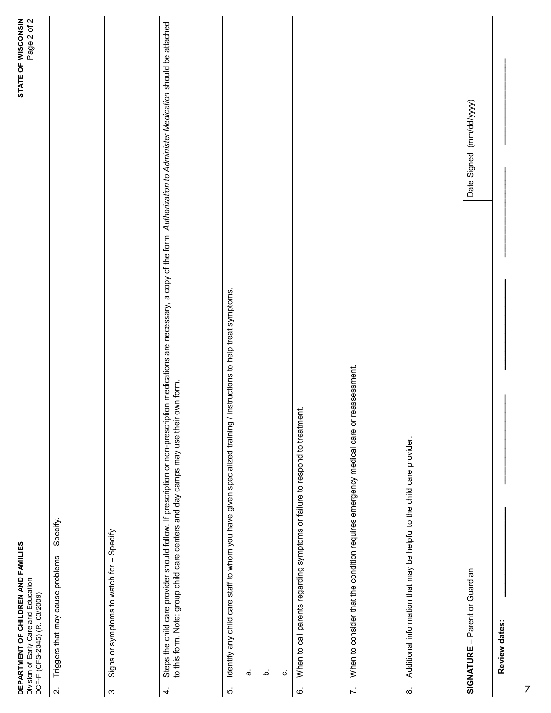|                         | STATE OF WISCONSIN<br>Page 2 of 2<br>DEPARTMENT OF CHILDREN AND FAMILIES<br>Division of Early Care and Education<br>DCF-F (CFS-2345) (R. 03/2009)                                                                                                                                 |  |
|-------------------------|-----------------------------------------------------------------------------------------------------------------------------------------------------------------------------------------------------------------------------------------------------------------------------------|--|
| $\overline{\mathbf{N}}$ | Triggers that may cause problems - Specify.                                                                                                                                                                                                                                       |  |
| $\dot{\rm c}$           | Signs or symptoms to watch for - Specify.                                                                                                                                                                                                                                         |  |
| $\overline{4}$          | Steps the child care provider should follow. If prescription or non-prescription medications are necessary, a copy of the form Authorization to Administer Medication should be attached<br>own form.<br>to this form. Note: group child care centers and day camps may use their |  |
| ιó.                     | instructions to help treat symptoms.<br>Identify any child care staff to whom you have given specialized training /                                                                                                                                                               |  |
|                         | ά,                                                                                                                                                                                                                                                                                |  |
|                         | ٩                                                                                                                                                                                                                                                                                 |  |
|                         | $\dot{\mathbf{C}}$                                                                                                                                                                                                                                                                |  |
| $\dot{\circ}$           | When to call parents regarding symptoms or failure to respond to treatment.                                                                                                                                                                                                       |  |
| $\mathcal{L}$           | When to consider that the condition requires emergency medical care or reassessment.                                                                                                                                                                                              |  |
| $\infty$                | Additional information that may be helpful to the child care provider.                                                                                                                                                                                                            |  |
|                         | Date Signed (mm/dd/yyyy)<br>SIGNATURE - Parent or Guardian                                                                                                                                                                                                                        |  |
|                         | Review dates:                                                                                                                                                                                                                                                                     |  |

7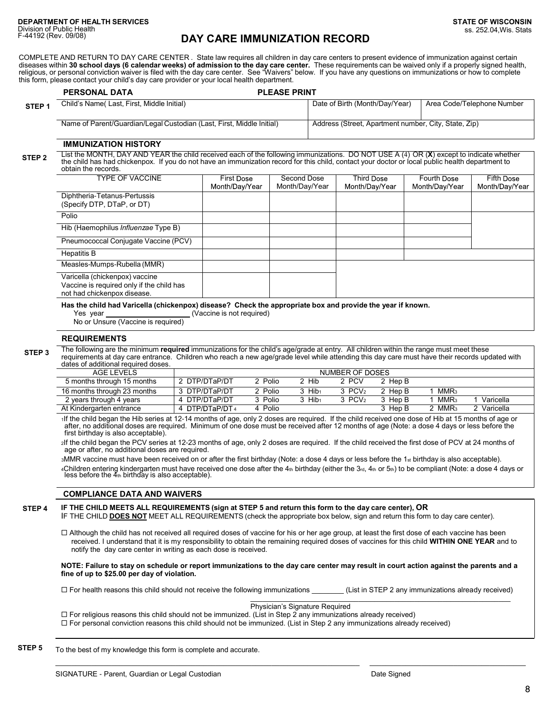#### **DAY CARE IMMUNIZATION RECORD**

COMPLETE AND RETURN TO DAY CARE CENTER . State law requires all children in day care centers to present evidence of immunization against certain diseases within 30 school days (6 calendar weeks) of admission to the day care center. These requirements can be waived only if a properly signed health, religious, or personal conviction waiver is filed with the day care center. See "Waivers" below. If you have any questions on immunizations or how to complete this form, please contact your child's day care provider or your local health department.

|                                                                                                                                                                                                                                                                                                                                         | <b>PLEASE PRINT</b><br><b>PERSONAL DATA</b>                                                                                   |                                                                                                                                                                                                                                                                                                 |                                    |                                                              |         |                                          |                               |                              |  |
|-----------------------------------------------------------------------------------------------------------------------------------------------------------------------------------------------------------------------------------------------------------------------------------------------------------------------------------------|-------------------------------------------------------------------------------------------------------------------------------|-------------------------------------------------------------------------------------------------------------------------------------------------------------------------------------------------------------------------------------------------------------------------------------------------|------------------------------------|--------------------------------------------------------------|---------|------------------------------------------|-------------------------------|------------------------------|--|
| STEP <sub>1</sub>                                                                                                                                                                                                                                                                                                                       | Child's Name(Last, First, Middle Initial)                                                                                     |                                                                                                                                                                                                                                                                                                 |                                    | Date of Birth (Month/Day/Year)<br>Area Code/Telephone Number |         |                                          |                               |                              |  |
|                                                                                                                                                                                                                                                                                                                                         | Address (Street, Apartment number, City, State, Zip)<br>Name of Parent/Guardian/Legal Custodian (Last, First, Middle Initial) |                                                                                                                                                                                                                                                                                                 |                                    |                                                              |         |                                          |                               |                              |  |
|                                                                                                                                                                                                                                                                                                                                         | <b>IMMUNIZATION HISTORY</b>                                                                                                   |                                                                                                                                                                                                                                                                                                 |                                    |                                                              |         |                                          |                               |                              |  |
| List the MONTH, DAY AND YEAR the child received each of the following immunizations. DO NOT USE A (4) OR (X) except to indicate whether<br>STEP <sub>2</sub><br>the child has had chickenpox. If you do not have an immunization record for this child, contact your doctor or local public health department to<br>obtain the records. |                                                                                                                               |                                                                                                                                                                                                                                                                                                 |                                    |                                                              |         |                                          |                               |                              |  |
|                                                                                                                                                                                                                                                                                                                                         | <b>TYPE OF VACCINE</b>                                                                                                        |                                                                                                                                                                                                                                                                                                 | First Dose<br>Month/Day/Year       | Second Dose<br>Month/Day/Year                                |         | <b>Third Dose</b><br>Month/Day/Year      | Fourth Dose<br>Month/Day/Year | Fifth Dose<br>Month/Day/Year |  |
|                                                                                                                                                                                                                                                                                                                                         | Diphtheria-Tetanus-Pertussis<br>(Specify DTP, DTaP, or DT)                                                                    |                                                                                                                                                                                                                                                                                                 |                                    |                                                              |         |                                          |                               |                              |  |
|                                                                                                                                                                                                                                                                                                                                         | Polio                                                                                                                         |                                                                                                                                                                                                                                                                                                 |                                    |                                                              |         |                                          |                               |                              |  |
|                                                                                                                                                                                                                                                                                                                                         | Hib (Haemophilus Influenzae Type B)                                                                                           |                                                                                                                                                                                                                                                                                                 |                                    |                                                              |         |                                          |                               |                              |  |
|                                                                                                                                                                                                                                                                                                                                         | Pneumococcal Conjugate Vaccine (PCV)                                                                                          |                                                                                                                                                                                                                                                                                                 |                                    |                                                              |         |                                          |                               |                              |  |
|                                                                                                                                                                                                                                                                                                                                         | <b>Hepatitis B</b>                                                                                                            |                                                                                                                                                                                                                                                                                                 |                                    |                                                              |         |                                          |                               |                              |  |
|                                                                                                                                                                                                                                                                                                                                         | Measles-Mumps-Rubella (MMR)                                                                                                   |                                                                                                                                                                                                                                                                                                 |                                    |                                                              |         |                                          |                               |                              |  |
|                                                                                                                                                                                                                                                                                                                                         | Varicella (chickenpox) vaccine<br>Vaccine is required only if the child has<br>not had chickenpox disease.                    |                                                                                                                                                                                                                                                                                                 |                                    |                                                              |         |                                          |                               |                              |  |
| Has the child had Varicella (chickenpox) disease? Check the appropriate box and provide the year if known.<br>(Vaccine is not required)<br>Yes year<br>No or Unsure (Vaccine is required)                                                                                                                                               |                                                                                                                               |                                                                                                                                                                                                                                                                                                 |                                    |                                                              |         |                                          |                               |                              |  |
|                                                                                                                                                                                                                                                                                                                                         | <b>REQUIREMENTS</b>                                                                                                           |                                                                                                                                                                                                                                                                                                 |                                    |                                                              |         |                                          |                               |                              |  |
| STEP <sub>3</sub>                                                                                                                                                                                                                                                                                                                       | dates of additional required doses.                                                                                           | The following are the minimum <b>required</b> immunizations for the child's age/grade at entry. All children within the range must meet these<br>requirements at day care entrance. Children who reach a new age/grade level while attending this day care must have their records updated with |                                    |                                                              |         |                                          |                               |                              |  |
|                                                                                                                                                                                                                                                                                                                                         | <b>AGE LEVELS</b>                                                                                                             |                                                                                                                                                                                                                                                                                                 |                                    |                                                              |         | NUMBER OF DOSES                          |                               |                              |  |
|                                                                                                                                                                                                                                                                                                                                         | $\Gamma$ are problem there is also $\overline{AP}$ are problem in                                                             |                                                                                                                                                                                                                                                                                                 | 0.0700T <sub>1</sub> 0/T<br>0.0111 |                                                              | $0 + E$ | $\Omega$ $\Omega$<br>0.11 <sub>2</sub> n |                               |                              |  |

| AGE LEVELS                  |                |         |                      | NUMBER OF DOSES      |         |                  |           |
|-----------------------------|----------------|---------|----------------------|----------------------|---------|------------------|-----------|
| 5 months through 15 months  | 2 DTP/DTaP/DT  | 2 Polio | 2 Hib                | 2 PCV                | 2 Hep B |                  |           |
| 16 months through 23 months | 3 DTP/DTaP/DT  | 2 Polio | 3 Hib <sub>1</sub>   | 3 PCV <sub>2</sub>   | 2 Hep B | MMR <sub>3</sub> |           |
| 2 years through 4 years     | 4 DTP/DTaP/DT  | 3 Polio | $3$ Hib <sub>1</sub> | $3$ PCV <sub>2</sub> | 3 Hep B | MMR <sub>3</sub> | Varicella |
| At Kindergarten entrance    | 4 DTP/DTaP/DT4 | 4 Polio |                      |                      | 3 Hep B | 2 MMR3           | Varicella |

<sup>1</sup>If the child began the Hib series at 12-14 months of age, only 2 doses are required. If the child received one dose of Hib at 15 months of age or after, no additional doses are required. Minimum of one dose must be received after 12 months of age (Note: a dose 4 days or less before the first birthday is also acceptable).

<sup>2</sup>If the child began the PCV series at 12-23 months of age, only 2 doses are required. If the child received the first dose of PCV at 24 months of age or after, no additional doses are required.

3MMR vaccine must have been received on or after the first birthday (Note: a dose 4 days or less before the 1st birthday is also acceptable). 4Children entering kindergarten must have received one dose after the 4տ birthday (either the 3ռ, 4տ or 5տ) to be compliant (Note: a dose 4 days or<br>less before the 4տ birthday is also acceptable).

#### **COMPLIANCE DATA AND WAIVERS**

**STEP 4**

IF THE CHILD MEETS ALL REQUIREMENTS (sign at STEP 5 and return this form to the day care center), OR

IF THE CHILD **DOES NOT** MEET ALL REQUIREMENTS (check the appropriate box below, sign and return this form to day care center).

 $\Box$  Although the child has not received all required doses of vaccine for his or her age group, at least the first dose of each vaccine has been received. I understand that it is my responsibility to obtain the remaining required doses of vaccines for this child **WITHIN ONE YEAR** and to notify the day care center in writing as each dose is received.

**NOTE: Failure to stay on schedule or report immunizations to the day care center may result in court action against the parents and a fine of up to \$25.00 per day of violation.**

 For health reasons this child should not receive the following immunizations \_\_\_\_\_\_\_\_ (List in STEP 2 any immunizations already received) \_\_\_\_\_\_\_\_\_\_\_\_\_\_\_\_\_\_\_\_\_\_\_\_\_\_\_\_\_\_\_\_\_\_\_\_\_\_\_\_\_\_\_\_\_\_\_\_\_\_\_\_\_\_\_\_\_\_\_\_\_\_\_\_\_

 $\mathcal{L} = \{ \mathcal{L} = \{ \mathcal{L} = \{ \mathcal{L} = \{ \mathcal{L} = \{ \mathcal{L} = \{ \mathcal{L} = \{ \mathcal{L} = \{ \mathcal{L} = \{ \mathcal{L} = \{ \mathcal{L} = \{ \mathcal{L} = \{ \mathcal{L} = \{ \mathcal{L} = \{ \mathcal{L} = \{ \mathcal{L} = \{ \mathcal{L} = \{ \mathcal{L} = \{ \mathcal{L} = \{ \mathcal{L} = \{ \mathcal{L} = \{ \mathcal{L} = \{ \mathcal{L} = \{ \mathcal{L} = \{ \mathcal{$ 

Physician's Signature Required

 $\Box$  For religious reasons this child should not be immunized. (List in Step 2 any immunizations already received)  $\Box$  For personal conviction reasons this child should not be immunized. (List in Step 2 any immunizations already received)

To the best of my knowledge this form is complete and accurate. **STEP 5**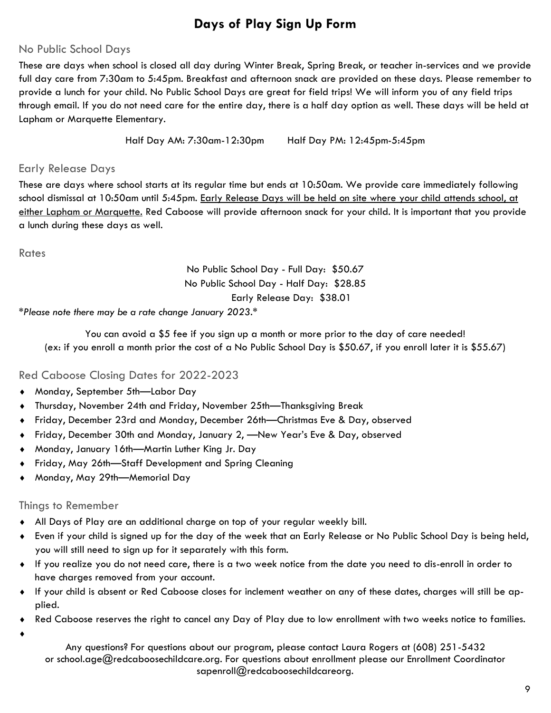## **Days of Play Sign Up Form**

### No Public School Days

These are days when school is closed all day during Winter Break, Spring Break, or teacher in-services and we provide full day care from 7:30am to 5:45pm. Breakfast and afternoon snack are provided on these days. Please remember to provide a lunch for your child. No Public School Days are great for field trips! We will inform you of any field trips through email. If you do not need care for the entire day, there is a half day option as well. These days will be held at Lapham or Marquette Elementary.

Half Day AM: 7:30am-12:30pm Half Day PM: 12:45pm-5:45pm

### Early Release Days

These are days where school starts at its regular time but ends at 10:50am. We provide care immediately following school dismissal at 10:50am until 5:45pm. Early Release Days will be held on site where your child attends school, at either Lapham or Marquette. Red Caboose will provide afternoon snack for your child. It is important that you provide a lunch during these days as well.

**Rates** 

## No Public School Day - Full Day: \$50.67 No Public School Day - Half Day: \$28.85 Early Release Day: \$38.01

*\*Please note there may be a rate change January 2023.\**

You can avoid a \$5 fee if you sign up a month or more prior to the day of care needed! (ex: if you enroll a month prior the cost of a No Public School Day is \$50.67, if you enroll later it is \$55.67)

## Red Caboose Closing Dates for 2022-2023

- Monday, September 5th—Labor Day
- Thursday, November 24th and Friday, November 25th—Thanksgiving Break
- Friday, December 23rd and Monday, December 26th—Christmas Eve & Day, observed
- Friday, December 30th and Monday, January 2, —New Year's Eve & Day, observed
- Monday, January 16th—Martin Luther King Jr. Day
- Friday, May 26th—Staff Development and Spring Cleaning
- Monday, May 29th—Memorial Day

### Things to Remember

- All Days of Play are an additional charge on top of your regular weekly bill.
- Even if your child is signed up for the day of the week that an Early Release or No Public School Day is being held, you will still need to sign up for it separately with this form.
- If you realize you do not need care, there is a two week notice from the date you need to dis-enroll in order to have charges removed from your account.
- If your child is absent or Red Caboose closes for inclement weather on any of these dates, charges will still be applied.
- Red Caboose reserves the right to cancel any Day of Play due to low enrollment with two weeks notice to families.
- $\blacklozenge$

Any questions? For questions about our program, please contact Laura Rogers at (608) 251-5432 or school.age@redcaboosechildcare.org. For questions about enrollment please our Enrollment Coordinator sapenroll@redcaboosechildcareorg.